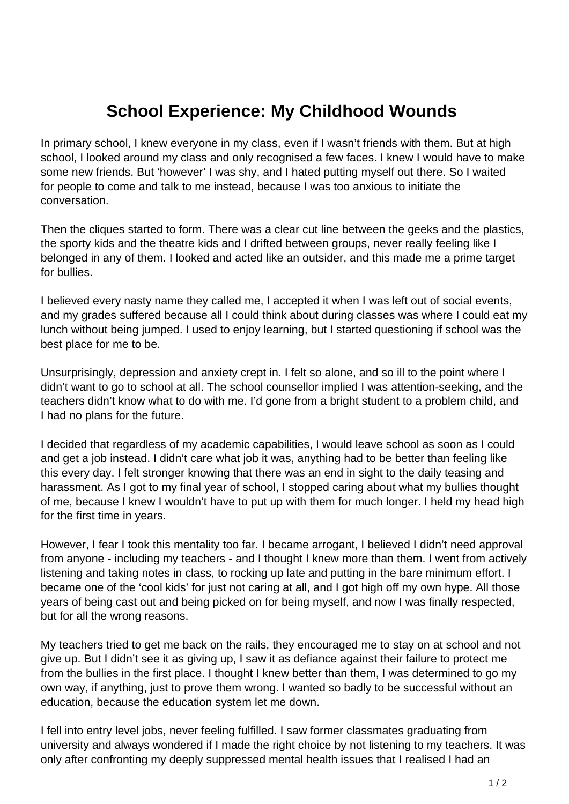## **School Experience: My Childhood Wounds**

In primary school, I knew everyone in my class, even if I wasn't friends with them. But at high school, I looked around my class and only recognised a few faces. I knew I would have to make some new friends. But 'however' I was shy, and I hated putting myself out there. So I waited for people to come and talk to me instead, because I was too anxious to initiate the conversation.

Then the cliques started to form. There was a clear cut line between the geeks and the plastics, the sporty kids and the theatre kids and I drifted between groups, never really feeling like I belonged in any of them. I looked and acted like an outsider, and this made me a prime target for bullies.

I believed every nasty name they called me, I accepted it when I was left out of social events, and my grades suffered because all I could think about during classes was where I could eat my lunch without being jumped. I used to enjoy learning, but I started questioning if school was the best place for me to be.

Unsurprisingly, depression and anxiety crept in. I felt so alone, and so ill to the point where I didn't want to go to school at all. The school counsellor implied I was attention-seeking, and the teachers didn't know what to do with me. I'd gone from a bright student to a problem child, and I had no plans for the future.

I decided that regardless of my academic capabilities, I would leave school as soon as I could and get a job instead. I didn't care what job it was, anything had to be better than feeling like this every day. I felt stronger knowing that there was an end in sight to the daily teasing and harassment. As I got to my final year of school, I stopped caring about what my bullies thought of me, because I knew I wouldn't have to put up with them for much longer. I held my head high for the first time in years.

However, I fear I took this mentality too far. I became arrogant, I believed I didn't need approval from anyone - including my teachers - and I thought I knew more than them. I went from actively listening and taking notes in class, to rocking up late and putting in the bare minimum effort. I became one of the 'cool kids' for just not caring at all, and I got high off my own hype. All those years of being cast out and being picked on for being myself, and now I was finally respected, but for all the wrong reasons.

My teachers tried to get me back on the rails, they encouraged me to stay on at school and not give up. But I didn't see it as giving up, I saw it as defiance against their failure to protect me from the bullies in the first place. I thought I knew better than them, I was determined to go my own way, if anything, just to prove them wrong. I wanted so badly to be successful without an education, because the education system let me down.

I fell into entry level jobs, never feeling fulfilled. I saw former classmates graduating from university and always wondered if I made the right choice by not listening to my teachers. It was only after confronting my deeply suppressed mental health issues that I realised I had an